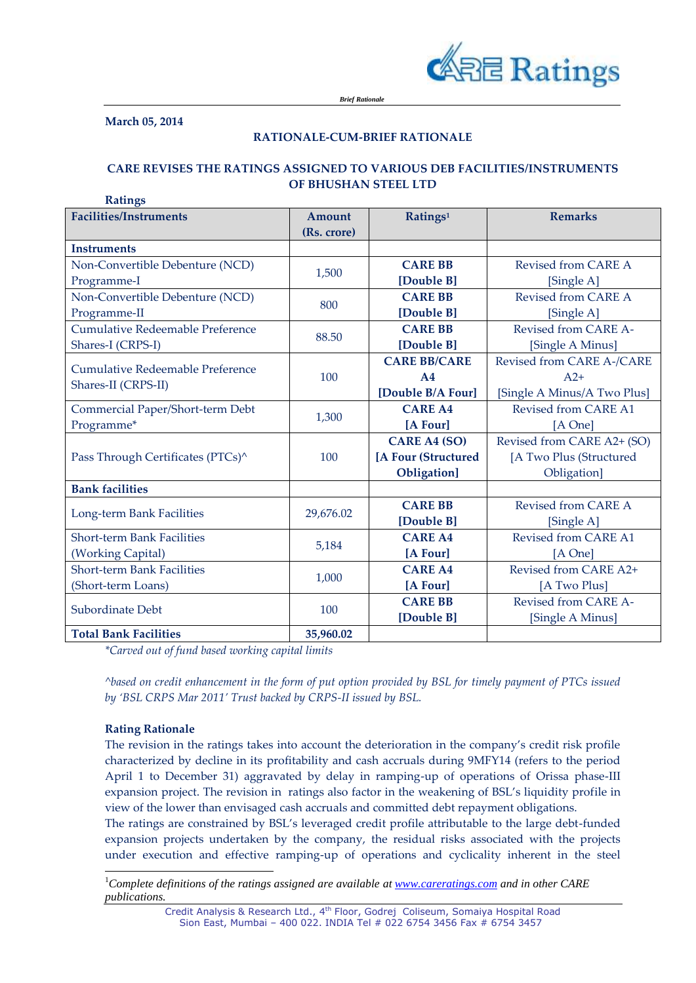

**March 05, 2014**

#### **RATIONALE-CUM-BRIEF RATIONALE**

# **CARE REVISES THE RATINGS ASSIGNED TO VARIOUS DEB FACILITIES/INSTRUMENTS OF BHUSHAN STEEL LTD**

| <b>Ratings</b>                                          |             |                      |                             |
|---------------------------------------------------------|-------------|----------------------|-----------------------------|
| <b>Facilities/Instruments</b>                           | Amount      | Ratings <sup>1</sup> | <b>Remarks</b>              |
|                                                         | (Rs. crore) |                      |                             |
| <b>Instruments</b>                                      |             |                      |                             |
| Non-Convertible Debenture (NCD)                         | 1,500       | <b>CARE BB</b>       | Revised from CARE A         |
| Programme-I                                             |             | [Double B]           | [Single A]                  |
| Non-Convertible Debenture (NCD)                         | 800         | <b>CARE BB</b>       | Revised from CARE A         |
| Programme-II                                            |             | [Double B]           | [Single A]                  |
| <b>Cumulative Redeemable Preference</b>                 | 88.50       | <b>CARE BB</b>       | Revised from CARE A-        |
| Shares-I (CRPS-I)                                       |             | [Double B]           | [Single A Minus]            |
| Cumulative Redeemable Preference<br>Shares-II (CRPS-II) | 100         | <b>CARE BB/CARE</b>  | Revised from CARE A-/CARE   |
|                                                         |             | A <sub>4</sub>       | $A2+$                       |
|                                                         |             | [Double B/A Four]    | [Single A Minus/A Two Plus] |
| Commercial Paper/Short-term Debt                        | 1,300       | <b>CARE A4</b>       | Revised from CARE A1        |
| Programme*                                              |             | [A Four]             | [A One]                     |
| Pass Through Certificates (PTCs) <sup>^</sup>           | 100         | <b>CARE A4 (SO)</b>  | Revised from CARE A2+ (SO)  |
|                                                         |             | [A Four (Structured  | [A Two Plus (Structured     |
|                                                         |             | Obligation]          | Obligation]                 |
| <b>Bank facilities</b>                                  |             |                      |                             |
| Long-term Bank Facilities                               | 29,676.02   | <b>CARE BB</b>       | Revised from CARE A         |
|                                                         |             | [Double B]           | [Single A]                  |
| <b>Short-term Bank Facilities</b>                       | 5,184       | <b>CARE A4</b>       | <b>Revised from CARE A1</b> |
| (Working Capital)                                       |             | [A Four]             | [A One]                     |
| <b>Short-term Bank Facilities</b>                       | 1,000       | <b>CARE A4</b>       | Revised from CARE A2+       |
| (Short-term Loans)                                      |             | [A Four]             | [A Two Plus]                |
| Subordinate Debt                                        | 100         | <b>CARE BB</b>       | Revised from CARE A-        |
|                                                         |             | [Double B]           | [Single A Minus]            |
| <b>Total Bank Facilities</b>                            | 35,960.02   |                      |                             |

*\*Carved out of fund based working capital limits*

*^based on credit enhancement in the form of put option provided by BSL for timely payment of PTCs issued by 'BSL CRPS Mar 2011' Trust backed by CRPS-II issued by BSL.*

## **Rating Rationale**

l

The revision in the ratings takes into account the deterioration in the company's credit risk profile characterized by decline in its profitability and cash accruals during 9MFY14 (refers to the period April 1 to December 31) aggravated by delay in ramping-up of operations of Orissa phase-III expansion project. The revision in ratings also factor in the weakening of BSL's liquidity profile in view of the lower than envisaged cash accruals and committed debt repayment obligations.

The ratings are constrained by BSL's leveraged credit profile attributable to the large debt-funded expansion projects undertaken by the company, the residual risks associated with the projects under execution and effective ramping-up of operations and cyclicality inherent in the steel

<sup>1</sup>*Complete definitions of the ratings assigned are available at [www.careratings.com](http://www.careratings.com/) and in other CARE publications.*

> Credit Analysis & Research Ltd., 4<sup>th</sup> Floor, Godrej Coliseum, Somaiya Hospital Road Sion East, Mumbai – 400 022. INDIA Tel # 022 6754 3456 Fax # 6754 3457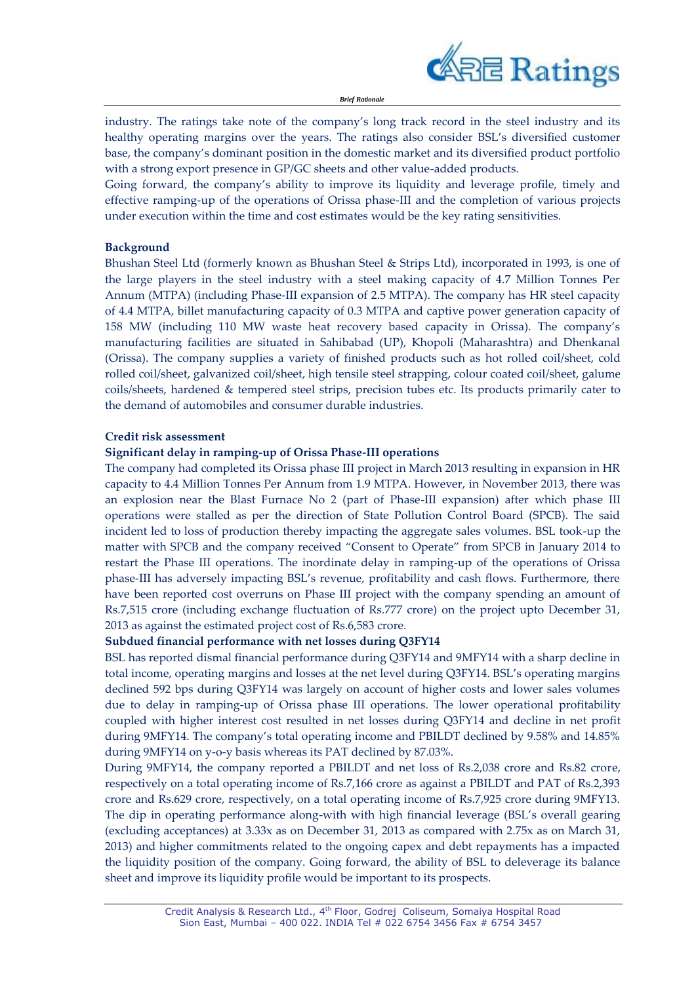

*Brief Rationale*

industry. The ratings take note of the company's long track record in the steel industry and its healthy operating margins over the years. The ratings also consider BSL's diversified customer base, the company's dominant position in the domestic market and its diversified product portfolio with a strong export presence in GP/GC sheets and other value-added products.

Going forward, the company's ability to improve its liquidity and leverage profile, timely and effective ramping-up of the operations of Orissa phase-III and the completion of various projects under execution within the time and cost estimates would be the key rating sensitivities.

#### **Background**

Bhushan Steel Ltd (formerly known as Bhushan Steel & Strips Ltd), incorporated in 1993, is one of the large players in the steel industry with a steel making capacity of 4.7 Million Tonnes Per Annum (MTPA) (including Phase-III expansion of 2.5 MTPA). The company has HR steel capacity of 4.4 MTPA, billet manufacturing capacity of 0.3 MTPA and captive power generation capacity of 158 MW (including 110 MW waste heat recovery based capacity in Orissa). The company's manufacturing facilities are situated in Sahibabad (UP), Khopoli (Maharashtra) and Dhenkanal (Orissa). The company supplies a variety of finished products such as [hot rolled coil/sheet, cold](http://www.bhushan-group.org/galvanised.asp)  [rolled coil/sheet, galvanized coil/sheet,](http://www.bhushan-group.org/galvanised.asp) [high tensile steel strapping,](http://www.bhushan-group.org/Hightensilesteel_striping.asp) [colour coated coil/](http://www.bhushan-group.org/product_colourcoated.asp)sheet, [galume](http://www.bhushan-group.org/product_glumespec.asp)  [coils/](http://www.bhushan-group.org/product_glumespec.asp)sheets, [hardened & tempered steel strips,](http://www.bhushan-group.org/HardenedTempered_strip.asp) [precision tubes](http://www.bhushan-group.org/Drawntubes.asp) etc. Its products primarily cater to the demand of automobiles and consumer durable industries.

#### **Credit risk assessment**

#### **Significant delay in ramping-up of Orissa Phase-III operations**

The company had completed its Orissa phase III project in March 2013 resulting in expansion in HR capacity to 4.4 Million Tonnes Per Annum from 1.9 MTPA. However, in November 2013, there was an explosion near the Blast Furnace No 2 (part of Phase-III expansion) after which phase III operations were stalled as per the direction of State Pollution Control Board (SPCB). The said incident led to loss of production thereby impacting the aggregate sales volumes. BSL took-up the matter with SPCB and the company received "Consent to Operate" from SPCB in January 2014 to restart the Phase III operations. The inordinate delay in ramping-up of the operations of Orissa phase-III has adversely impacting BSL's revenue, profitability and cash flows. Furthermore, there have been reported cost overruns on Phase III project with the company spending an amount of Rs.7,515 crore (including exchange fluctuation of Rs.777 crore) on the project upto December 31, 2013 as against the estimated project cost of Rs.6,583 crore.

## **Subdued financial performance with net losses during Q3FY14**

BSL has reported dismal financial performance during Q3FY14 and 9MFY14 with a sharp decline in total income, operating margins and losses at the net level during Q3FY14. BSL's operating margins declined 592 bps during Q3FY14 was largely on account of higher costs and lower sales volumes due to delay in ramping-up of Orissa phase III operations. The lower operational profitability coupled with higher interest cost resulted in net losses during Q3FY14 and decline in net profit during 9MFY14. The company's total operating income and PBILDT declined by 9.58% and 14.85% during 9MFY14 on y-o-y basis whereas its PAT declined by 87.03%.

During 9MFY14, the company reported a PBILDT and net loss of Rs.2,038 crore and Rs.82 crore, respectively on a total operating income of Rs.7,166 crore as against a PBILDT and PAT of Rs.2,393 crore and Rs.629 crore, respectively, on a total operating income of Rs.7,925 crore during 9MFY13. The dip in operating performance along-with with high financial leverage (BSL's overall gearing (excluding acceptances) at 3.33x as on December 31, 2013 as compared with 2.75x as on March 31, 2013) and higher commitments related to the ongoing capex and debt repayments has a impacted the liquidity position of the company. Going forward, the ability of BSL to deleverage its balance sheet and improve its liquidity profile would be important to its prospects.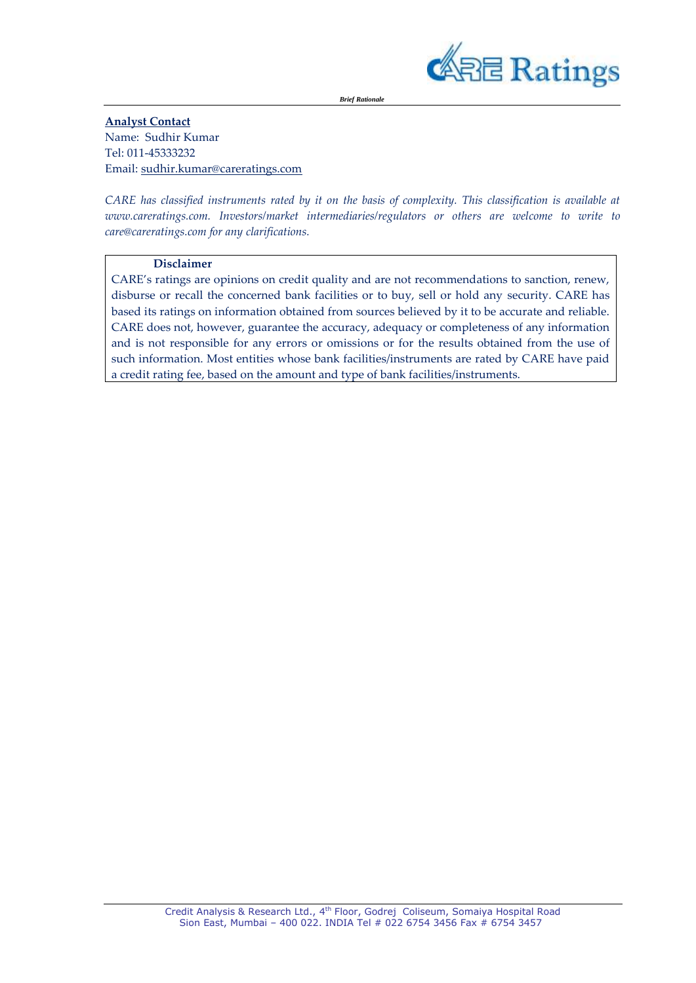

*Brief Rationale*

**Analyst Contact** Name: Sudhir Kumar Tel: 011-45333232 Email[: sudhir.kumar@careratings.com](mailto:sudhir.kumar@careratings.com)

*CARE has classified instruments rated by it on the basis of complexity. This classification is available at www.careratings.com. Investors/market intermediaries/regulators or others are welcome to write to care@careratings.com for any clarifications.*

#### **Disclaimer**

CARE's ratings are opinions on credit quality and are not recommendations to sanction, renew, disburse or recall the concerned bank facilities or to buy, sell or hold any security. CARE has based its ratings on information obtained from sources believed by it to be accurate and reliable. CARE does not, however, guarantee the accuracy, adequacy or completeness of any information and is not responsible for any errors or omissions or for the results obtained from the use of such information. Most entities whose bank facilities/instruments are rated by CARE have paid a credit rating fee, based on the amount and type of bank facilities/instruments.